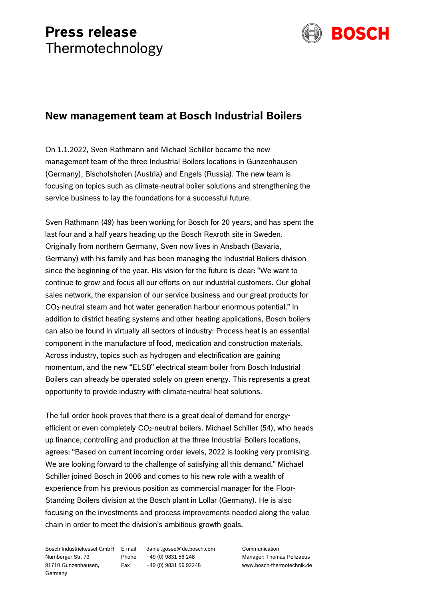## **Press release** Thermotechnology



## **New management team at Bosch Industrial Boilers**

On 1.1.2022, Sven Rathmann and Michael Schiller became the new management team of the three Industrial Boilers locations in Gunzenhausen (Germany), Bischofshofen (Austria) and Engels (Russia). The new team is focusing on topics such as climate-neutral boiler solutions and strengthening the service business to lay the foundations for a successful future.

Sven Rathmann (49) has been working for Bosch for 20 years, and has spent the last four and a half years heading up the Bosch Rexroth site in Sweden. Originally from northern Germany, Sven now lives in Ansbach (Bavaria, Germany) with his family and has been managing the Industrial Boilers division since the beginning of the year. His vision for the future is clear: "We want to continue to grow and focus all our efforts on our industrial customers. Our global sales network, the expansion of our service business and our great products for CO2-neutral steam and hot water generation harbour enormous potential." In addition to district heating systems and other heating applications, Bosch boilers can also be found in virtually all sectors of industry: Process heat is an essential component in the manufacture of food, medication and construction materials. Across industry, topics such as hydrogen and electrification are gaining momentum, and the new "ELSB" electrical steam boiler from Bosch Industrial Boilers can already be operated solely on green energy. This represents a great opportunity to provide industry with climate-neutral heat solutions.

The full order book proves that there is a great deal of demand for energyefficient or even completely CO<sub>2</sub>-neutral boilers. Michael Schiller (54), who heads up finance, controlling and production at the three Industrial Boilers locations, agrees: "Based on current incoming order levels, 2022 is looking very promising. We are looking forward to the challenge of satisfying all this demand." Michael Schiller joined Bosch in 2006 and comes to his new role with a wealth of experience from his previous position as commercial manager for the Floor-Standing Boilers division at the Bosch plant in Lollar (Germany). He is also focusing on the investments and process improvements needed along the value chain in order to meet the division's ambitious growth goals.

Bosch Industriekessel GmbH Nürnberger Str. 73 Phone +49 (0) 9831 56 248 91710 Gunzenhausen, Germany

daniel.gosse@de.bosch.com Fax +49 (0) 9831 56 92248

Communication Manager: Thomas Pelizaeus www.bosch-thermotechnik.de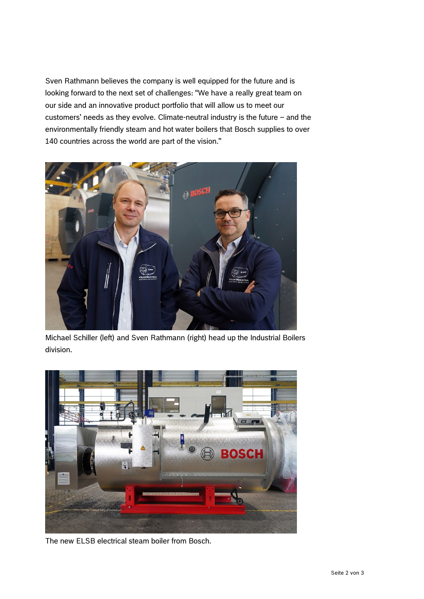Sven Rathmann believes the company is well equipped for the future and is looking forward to the next set of challenges: "We have a really great team on our side and an innovative product portfolio that will allow us to meet our customers' needs as they evolve. Climate-neutral industry is the future – and the environmentally friendly steam and hot water boilers that Bosch supplies to over 140 countries across the world are part of the vision."



Michael Schiller (left) and Sven Rathmann (right) head up the Industrial Boilers division.



The new ELSB electrical steam boiler from Bosch.